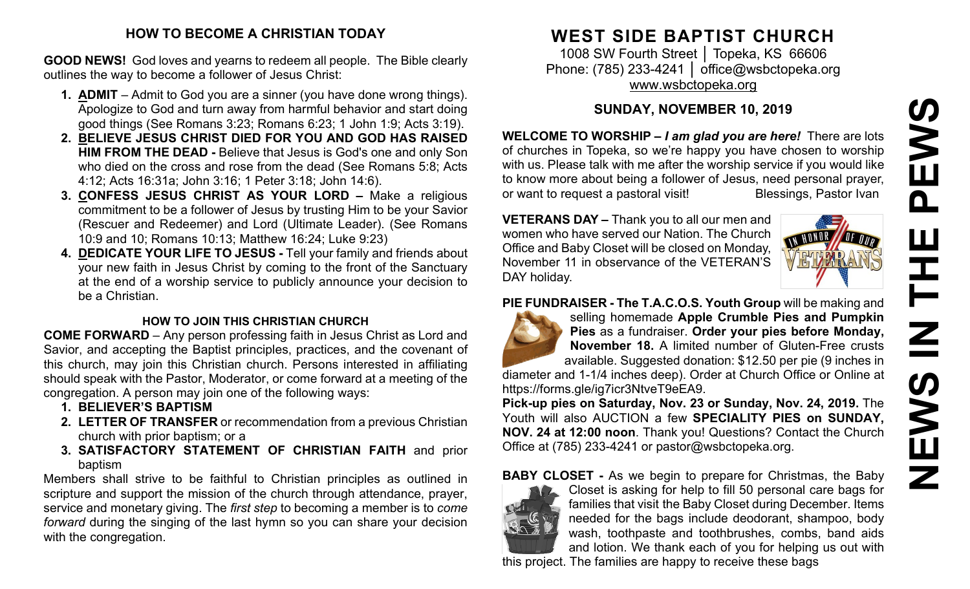## **HOW TO BECOME A CHRISTIAN TODAY**

**GOOD NEWS!** God loves and yearns to redeem all people. The Bible clearly outlines the way to become a follower of Jesus Christ:

- **1. ADMIT** Admit to God you are a sinner (you have done wrong things). Apologize to God and turn away from harmful behavior and start doing good things (See Romans 3:23; Romans 6:23; 1 John 1:9; Acts 3:19).
- **2. BELIEVE JESUS CHRIST DIED FOR YOU AND GOD HAS RAISED HIM FROM THE DEAD -** Believe that Jesus is God's one and only Son who died on the cross and rose from the dead (See Romans 5:8; Acts 4:12; Acts 16:31a; John 3:16; 1 Peter 3:18; John 14:6).
- **3. CONFESS JESUS CHRIST AS YOUR LORD –** Make a religious commitment to be a follower of Jesus by trusting Him to be your Savior (Rescuer and Redeemer) and Lord (Ultimate Leader). (See Romans 10:9 and 10; Romans 10:13; Matthew 16:24; Luke 9:23)
- **4. DEDICATE YOUR LIFE TO JESUS -** Tell your family and friends about your new faith in Jesus Christ by coming to the front of the Sanctuary at the end of a worship service to publicly announce your decision to be a Christian.

## **HOW TO JOIN THIS CHRISTIAN CHURCH**

**COME FORWARD** – Any person professing faith in Jesus Christ as Lord and Savior, and accepting the Baptist principles, practices, and the covenant of this church, may join this Christian church. Persons interested in affiliating should speak with the Pastor, Moderator, or come forward at a meeting of the congregation. A person may join one of the following ways:

- **1. BELIEVER'S BAPTISM**
- **2. LETTER OF TRANSFER** or recommendation from a previous Christian church with prior baptism; or a
- **3. SATISFACTORY STATEMENT OF CHRISTIAN FAITH** and prior baptism

Members shall strive to be faithful to Christian principles as outlined in scripture and support the mission of the church through attendance, prayer, service and monetary giving. The *first step* to becoming a member is to *come forward* during the singing of the last hymn so you can share your decision with the congregation.

# **WEST SIDE BAPTIST CHURCH**

1008 SW Fourth Street | Topeka, KS 66606 Phone: (785) 233-4241 │ [office@wsbctopeka.org](mailto:office@wsbctopeka.org) [www.wsbctopeka.org](http://www.wsbctopeka.org/)

## **SUNDAY, NOVEMBER 10, 2019**

**WELCOME TO WORSHIP –** *I am glad you are here!* There are lots of churches in Topeka, so we're happy you have chosen to worship with us. Please talk with me after the worship service if you would like to know more about being a follower of Jesus, need personal prayer, or want to request a pastoral visit!<br>
Blessings, Pastor Ivan

**VETERANS DAY –** Thank you to all our men and women who have served our Nation. The Church Office and Baby Closet will be closed on Monday, November 11 in observance of the VETERAN'S DAY holiday.



## **PIE FUNDRAISER - The T.A.C.O.S. Youth Group** will be making and



selling homemade **Apple Crumble Pies and Pumpkin Pies** as a fundraiser. **Order your pies before Monday, November 18.** A limited number of Gluten-Free crusts available. Suggested donation: \$12.50 per pie (9 inches in

diameter and 1-1/4 inches deep). Order at Church Office or Online at https://forms.gle/ig7icr3NtveT9eEA9.

**Pick-up pies on Saturday, Nov. 23 or Sunday, Nov. 24, 2019.** The Youth will also AUCTION a few **SPECIALITY PIES on SUNDAY, NOV. 24 at 12:00 noon**. Thank you! Questions? Contact the Church Office at (785) 233-4241 or pastor@wsbctopeka.org.

**BABY CLOSET -** As we begin to prepare for Christmas, the Baby



Closet is asking for help to fill 50 personal care bags for families that visit the Baby Closet during December. Items needed for the bags include deodorant, shampoo, body wash, toothpaste and toothbrushes, combs, band aids and lotion. We thank each of you for helping us out with this project. The families are happy to receive these bags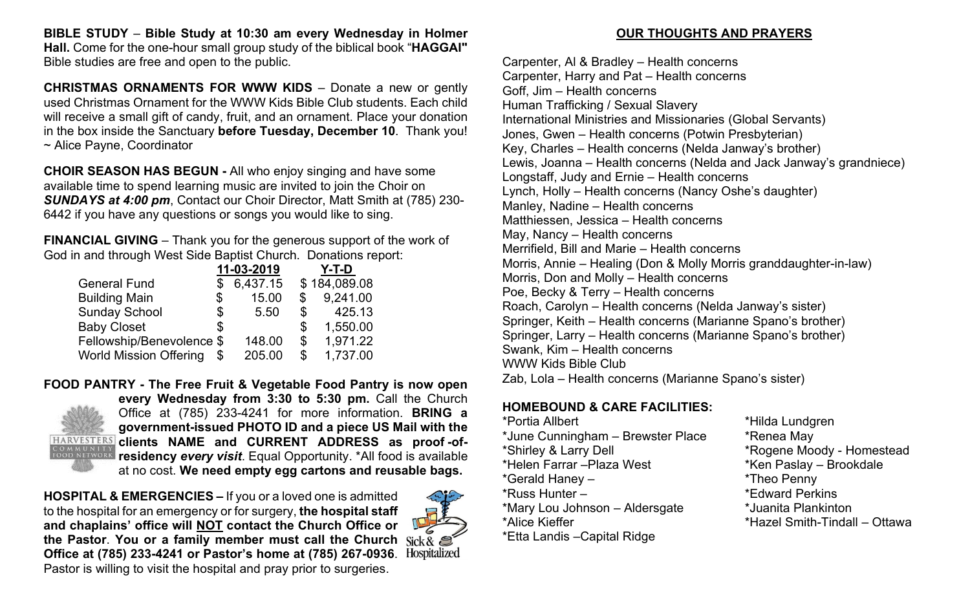**BIBLE STUDY** – **Bible Study at 10:30 am every Wednesday in Holmer Hall.** Come for the one-hour small group study of the biblical book "**HAGGAI"** Bible studies are free and open to the public.

**CHRISTMAS ORNAMENTS FOR WWW KIDS** – Donate a new or gently used Christmas Ornament for the WWW Kids Bible Club students. Each child will receive a small gift of candy, fruit, and an ornament. Place your donation in the box inside the Sanctuary **before Tuesday, December 10**. Thank you! ~ Alice Payne, Coordinator

**CHOIR SEASON HAS BEGUN -** All who enjoy singing and have some available time to spend learning music are invited to join the Choir on *SUNDAYS at 4:00 pm*, Contact our Choir Director, Matt Smith at (785) 230- 6442 if you have any questions or songs you would like to sing.

**FINANCIAL GIVING** – Thank you for the generous support of the work of God in and through West Side Baptist Church. Donations report:

|                               | 11-03-2019  |                | Y-T-D        |
|-------------------------------|-------------|----------------|--------------|
| <b>General Fund</b>           | 6,437.15    |                | \$184,089.08 |
| <b>Building Main</b>          | \$<br>15.00 |                | 9,241.00     |
| <b>Sunday School</b>          | \$<br>5.50  | $\mathbb{S}^-$ | 425.13       |
| <b>Baby Closet</b>            | \$          | \$             | 1,550.00     |
| Fellowship/Benevolence \$     | 148.00      | $\mathfrak{L}$ | 1,971.22     |
| <b>World Mission Offering</b> | 205.00      | \$             | 1,737.00     |

**FOOD PANTRY - The Free Fruit & Vegetable Food Pantry is now open every Wednesday from 3:30 to 5:30 pm.** Call the Church Office at (785) 233-4241 for more information. **BRING a government-issued PHOTO ID and a piece US Mail with the HARVESTERS** clients NAME and CURRENT ADDRESS as proof-of-**ROMMUNITY CINCILLY INCLUSE SECTION COMMUNITY**<br>FOOD NETWORK **residency every visit**. Equal Opportunity. \*All food is available at no cost. **We need empty egg cartons and reusable bags.** 

**HOSPITAL & EMERGENCIES –** If you or a loved one is admitted to the hospital for an emergency or for surgery, **the hospital staff and chaplains' office will NOT contact the Church Office or the Pastor**. **You or a family member must call the Church Office at (785) 233-4241 or Pastor's home at (785) 267-0936**. Pastor is willing to visit the hospital and pray prior to surgeries.



## **OUR THOUGHTS AND PRAYERS**

Carpenter, Al & Bradley – Health concerns Carpenter, Harry and Pat – Health concerns Goff, Jim – Health concerns Human Trafficking / Sexual Slavery International Ministries and Missionaries (Global Servants) Jones, Gwen – Health concerns (Potwin Presbyterian) Key, Charles – Health concerns (Nelda Janway's brother) Lewis, Joanna – Health concerns (Nelda and Jack Janway's grandniece) Longstaff, Judy and Ernie – Health concerns Lynch, Holly – Health concerns (Nancy Oshe's daughter) Manley, Nadine – Health concerns Matthiessen, Jessica – Health concerns May, Nancy – Health concerns Merrifield, Bill and Marie – Health concerns Morris, Annie – Healing (Don & Molly Morris granddaughter-in-law) Morris, Don and Molly – Health concerns Poe, Becky & Terry – Health concerns Roach, Carolyn – Health concerns (Nelda Janway's sister) Springer, Keith – Health concerns (Marianne Spano's brother) Springer, Larry – Health concerns (Marianne Spano's brother) Swank, Kim – Health concerns WWW Kids Bible Club Zab, Lola – Health concerns (Marianne Spano's sister)

## **HOMEBOUND & CARE FACILITIES:**

\*Portia Allbert \*Hilda Lundgren \*June Cunningham – Brewster Place \* \* Renea May \*Shirley & Larry Dell \*Rogene Moody - Homestead \*Helen Farrar – Plaza West \*Gerald Haney – \*Theo Penny \*Russ Hunter – \*Edward Perkins \*Mary Lou Johnson – Aldersgate \*Juanita Plankinton \*Alice Kieffer \*Hazel Smith-Tindall – Ottawa \*Etta Landis –Capital Ridge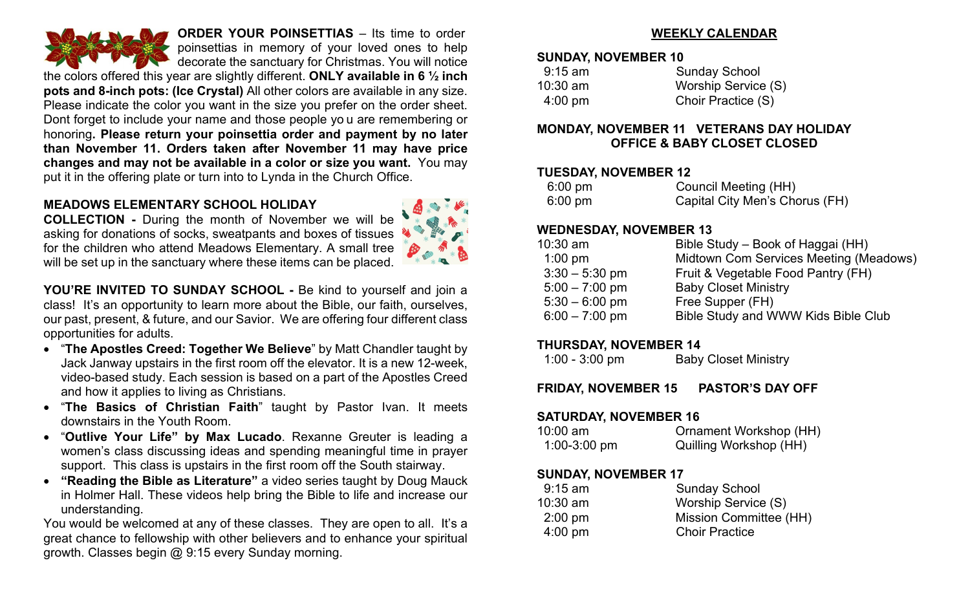

**ORDER YOUR POINSETTIAS** – Its time to order poinsettias in memory of your loved ones to help decorate the sanctuary for Christmas. You will notice

the colors offered this year are slightly different. **ONLY available in 6 ½ inch pots and 8-inch pots: (Ice Crystal)** All other colors are available in any size. Please indicate the color you want in the size you prefer on the order sheet. Dont forget to include your name and those people yo u are remembering or honoring**. Please return your poinsettia order and payment by no later than November 11. Orders taken after November 11 may have price changes and may not be available in a color or size you want.** You may put it in the offering plate or turn into to Lynda in the Church Office.

#### **MEADOWS ELEMENTARY SCHOOL HOLIDAY**

**COLLECTION -** During the month of November we will be asking for donations of socks, sweatpants and boxes of tissues for the children who attend Meadows Elementary. A small tree will be set up in the sanctuary where these items can be placed.

**YOU'RE INVITED TO SUNDAY SCHOOL -** Be kind to yourself and join a class! It's an opportunity to learn more about the Bible, our faith, ourselves, our past, present, & future, and our Savior. We are offering four different class opportunities for adults.

- "**The Apostles Creed: Together We Believe**" by Matt Chandler taught by Jack Janway upstairs in the first room off the elevator. It is a new 12-week, video-based study. Each session is based on a part of the Apostles Creed and how it applies to living as Christians.
- "**The Basics of Christian Faith**" taught by Pastor Ivan. It meets downstairs in the Youth Room.
- "**Outlive Your Life" by Max Lucado**. Rexanne Greuter is leading a women's class discussing ideas and spending meaningful time in prayer support. This class is upstairs in the first room off the South stairway.
- **"Reading the Bible as Literature"** a video series taught by Doug Mauck in Holmer Hall. These videos help bring the Bible to life and increase our understanding.

You would be welcomed at any of these classes. They are open to all. It's a great chance to fellowship with other believers and to enhance your spiritual growth. Classes begin @ 9:15 every Sunday morning.

## **WEEKLY CALENDAR**

#### **SUNDAY, NOVEMBER 10**

| $9:15$ am         | <b>Sunday School</b> |
|-------------------|----------------------|
| $10:30$ am        | Worship Service (S)  |
| $4:00 \text{ pm}$ | Choir Practice (S)   |

#### **MONDAY, NOVEMBER 11 VETERANS DAY HOLIDAY OFFICE & BABY CLOSET CLOSED**

#### **TUESDAY, NOVEMBER 12**

| $6:00 \text{ pm}$ | Council Meeting (HH)           |
|-------------------|--------------------------------|
| $6:00 \text{ pm}$ | Capital City Men's Chorus (FH) |

#### **WEDNESDAY, NOVEMBER 13**

| $10:30$ am       | Bible Study – Book of Haggai (HH)      |
|------------------|----------------------------------------|
| $1:00$ pm        | Midtown Com Services Meeting (Meadows) |
| $3:30 - 5:30$ pm | Fruit & Vegetable Food Pantry (FH)     |
| $5:00 - 7:00$ pm | <b>Baby Closet Ministry</b>            |
| $5:30 - 6:00$ pm | Free Supper (FH)                       |
| $6:00 - 7:00$ pm | Bible Study and WWW Kids Bible Club    |

#### **THURSDAY, NOVEMBER 14**

| $1:00 - 3:00$ pm | <b>Baby Closet Ministry</b> |
|------------------|-----------------------------|
|------------------|-----------------------------|

**FRIDAY, NOVEMBER 15 PASTOR'S DAY OFF**

#### **SATURDAY, NOVEMBER 16**

| $10:00$ am     | Ornament Workshop (HH) |
|----------------|------------------------|
| $1:00-3:00$ pm | Quilling Workshop (HH) |

## **SUNDAY, NOVEMBER 17**

| <b>Sunday School</b>   |
|------------------------|
| Worship Service (S)    |
| Mission Committee (HH) |
| <b>Choir Practice</b>  |
|                        |